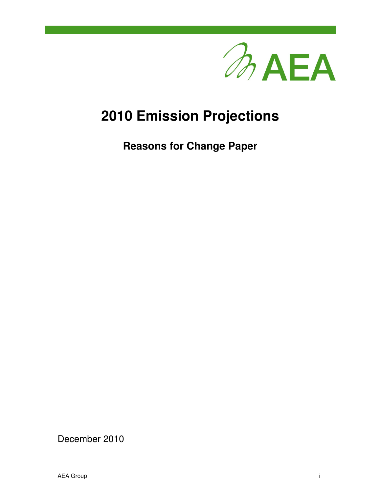

# **2010 Emission Projections**

**Reasons for Change Paper** 

December 2010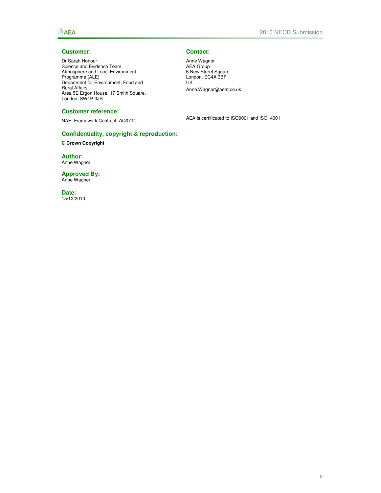

#### **Customer: Contact:**

Dr Sarah Honour Science and Evidence Team Atmosphere and Local Environment Programme (ALE) Department for Environment, Food and Rural Affairs Area 5E Ergon House, 17 Smith Square, London, SW1P 3JR

Anne Wagner AEA Group 6 New Street Square London, EC4A 3BF UK Anne.Wagner@aeat.co.uk

**Customer reference:** 

NAEI Framework Contract, AQ0711.

AEA is certificated to ISO9001 and ISO14001

### **Confidentiality, copyright & reproduction:**

**© Crown Copyright** 

**Author:**  Anne Wagner

**Approved By:**  Anne Wagner

**Date:**  15/12/2010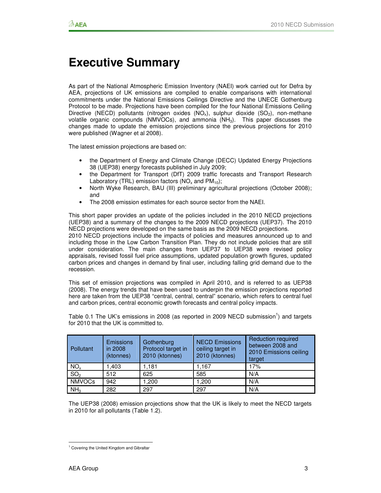# **Executive Summary**

As part of the National Atmospheric Emission Inventory (NAEI) work carried out for Defra by AEA, projections of UK emissions are compiled to enable comparisons with international commitments under the National Emissions Ceilings Directive and the UNECE Gothenburg Protocol to be made. Projections have been compiled for the four National Emissions Ceiling Directive (NECD) pollutants (nitrogen oxides  $(NO_x)$ , sulphur dioxide  $(SO_2)$ , non-methane volatile organic compounds (NMVOCs), and ammonia (NH<sub>3</sub>). This paper discusses the changes made to update the emission projections since the previous projections for 2010 were published (Wagner et al 2008).

The latest emission projections are based on:

- the Department of Energy and Climate Change (DECC) Updated Energy Projections 38 (UEP38) energy forecasts published in July 2009;
- the Department for Transport (DfT) 2009 traffic forecasts and Transport Research Laboratory (TRL) emission factors ( $NO<sub>x</sub>$  and  $PM<sub>10</sub>$ );
- North Wyke Research, BAU (III) preliminary agricultural projections (October 2008); and
- The 2008 emission estimates for each source sector from the NAEI.

This short paper provides an update of the policies included in the 2010 NECD projections (UEP38) and a summary of the changes to the 2009 NECD projections (UEP37). The 2010 NECD projections were developed on the same basis as the 2009 NECD projections.

2010 NECD projections include the impacts of policies and measures announced up to and including those in the Low Carbon Transition Plan. They do not include policies that are still under consideration. The main changes from UEP37 to UEP38 were revised policy appraisals, revised fossil fuel price assumptions, updated population growth figures, updated carbon prices and changes in demand by final user, including falling grid demand due to the recession.

This set of emission projections was compiled in April 2010, and is referred to as UEP38 (2008). The energy trends that have been used to underpin the emission projections reported here are taken from the UEP38 "central, central, central" scenario, which refers to central fuel and carbon prices, central economic growth forecasts and central policy impacts.

Table 0.1 The UK's emissions in 2008 (as reported in 2009 NECD submission<sup>1</sup>) and targets for 2010 that the UK is committed to.

| <b>Pollutant</b> | Emissions<br>in 2008<br>(ktonnes) | Gothenburg<br>Protocol target in<br>2010 (ktonnes) | <b>NECD Emissions</b><br>ceiling target in<br>2010 (ktonnes) | <b>Reduction required</b><br>between 2008 and<br>2010 Emissions ceiling<br>target |
|------------------|-----------------------------------|----------------------------------------------------|--------------------------------------------------------------|-----------------------------------------------------------------------------------|
| NO <sub>x</sub>  | 1.403                             | 1.181                                              | 1.167                                                        | 17%                                                                               |
| SO <sub>2</sub>  | 512                               | 625                                                | 585                                                          | N/A                                                                               |
| <b>NMVOCs</b>    | 942                               | 1.200                                              | 1.200                                                        | N/A                                                                               |
| NH <sub>3</sub>  | 282                               | 297                                                | 297                                                          | N/A                                                                               |

The UEP38 (2008) emission projections show that the UK is likely to meet the NECD targets in 2010 for all pollutants (Table 1.2).

l

<sup>&</sup>lt;sup>1</sup> Covering the United Kingdom and Gibraltar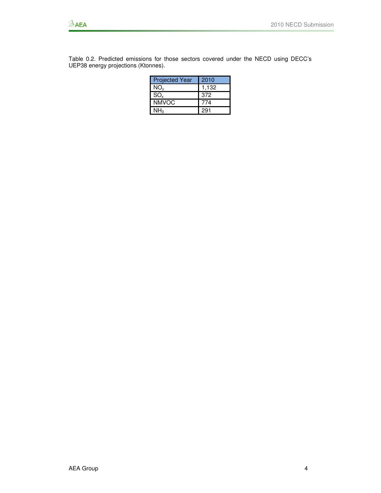| <b>Projected Year</b> | 2010  |
|-----------------------|-------|
| NO <sub>¥</sub>       | 1,132 |
| SO <sub>x</sub>       | 372   |
| <b>NMVOC</b>          | 774   |
| NH <sub>3</sub>       | 291   |

Table 0.2. Predicted emissions for those sectors covered under the NECD using DECC's UEP38 energy projections (Ktonnes).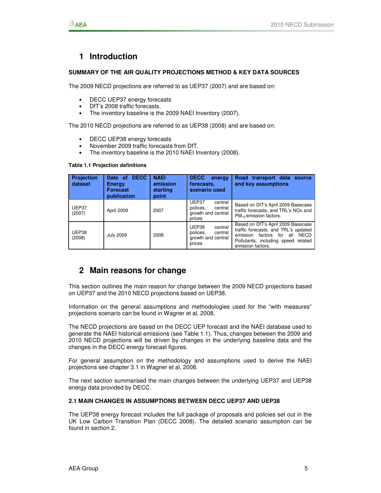# **1 Introduction**

#### **SUMMARY OF THE AIR QUALITY PROJECTIONS METHOD & KEY DATA SOURCES**

The 2009 NECD projections are referred to as UEP37 (2007) and are based on:

- DECC UEP37 energy forecasts
- DfT's 2008 traffic forecasts.
- The inventory baseline is the 2009 NAEI Inventory (2007).

The 2010 NECD projections are referred to as UEP38 (2008) and are based on:

- DECC UEP38 energy forecasts
- November 2009 traffic forecasts from DfT.
- The inventory baseline is the 2010 NAEI Inventory (2008).

#### **Table 1.1 Projection definitions**

| <b>Projection</b><br>dataset | <b>DECC</b><br>Date of<br><b>Energy</b><br><b>Forecast</b><br>publication | <b>NAEI</b><br>emission<br>starting<br>point | <b>DECC</b><br>energy<br>forecasts.<br>scenario used                    | Road transport data source<br>and key assumptions                                                                                                                                    |
|------------------------------|---------------------------------------------------------------------------|----------------------------------------------|-------------------------------------------------------------------------|--------------------------------------------------------------------------------------------------------------------------------------------------------------------------------------|
| UEP37<br>(2007)              | April 2009                                                                | 2007                                         | UEP37<br>central<br>polices.<br>central<br>growth and central<br>prices | Based on DfT's April 2009 Basecase<br>traffic forecasts, and TRL's NOx and<br>PM <sub>10</sub> emission factors.                                                                     |
| UEP38<br>(2008)              | <b>July 2009</b>                                                          | 2008                                         | UEP38<br>central<br>central<br>polices.<br>growth and central<br>prices | Based on DfT's April 2009 Basecase<br>traffic forecasts, and TRL's updated<br><b>NECD</b><br>emission factors<br>for all<br>Pollutants, including speed related<br>emission factors. |

## **2 Main reasons for change**

This section outlines the main reason for change between the 2009 NECD projections based on UEP37 and the 2010 NECD projections based on UEP38.

Information on the general assumptions and methodologies used for the "with measures" projections scenario can be found in Wagner et al, 2008.

The NECD projections are based on the DECC UEP forecast and the NAEI database used to generate the NAEI historical emissions (see Table 1.1). Thus, changes between the 2009 and 2010 NECD projections will be driven by changes in the underlying baseline data and the changes in the DECC energy forecast figures.

For general assumption on the methodology and assumptions used to derive the NAEI projections see chapter 3.1 in Wagner et al, 2008.

The next section summarised the main changes between the underlying UEP37 and UEP38 energy data provided by DECC.

#### **2.1 MAIN CHANGES IN ASSUMPTIONS BETWEEN DECC UEP37 AND UEP38**

The UEP38 energy forecast includes the full package of proposals and policies set out in the UK Low Carbon Transition Plan (DECC 2008). The detailed scenario assumption can be found in section 2.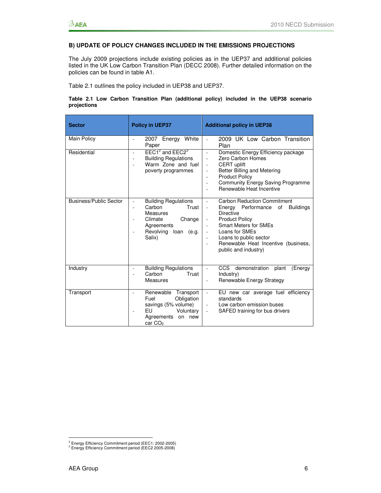#### **B) UPDATE OF POLICY CHANGES INCLUDED IN THE EMISSIONS PROJECTIONS**

The July 2009 projections include existing policies as in the UEP37 and additional policies listed in the UK Low Carbon Transition Plan (DECC 2008). Further detailed information on the policies can be found in table A1.

Table 2.1 outlines the policy included in UEP38 and UEP37.

#### **Table 2.1 Low Carbon Transition Plan (additional policy) included in the UEP38 scenario projections**

| <b>Sector</b>              | <b>Policy in UEP37</b>                                                                                                                                            | <b>Additional policy in UEP38</b>                                                                                                                                                                                                                                                                                                                           |  |  |
|----------------------------|-------------------------------------------------------------------------------------------------------------------------------------------------------------------|-------------------------------------------------------------------------------------------------------------------------------------------------------------------------------------------------------------------------------------------------------------------------------------------------------------------------------------------------------------|--|--|
| Main Policy<br>Residential | 2007 Energy White<br>Paper<br>EEC1 <sup>2</sup> and EEC2 <sup>3</sup><br>÷<br><b>Building Regulations</b><br>Warm Zone and fuel<br>poverty programmes             | 2009 UK Low Carbon Transition<br>Plan<br>Domestic Energy Efficiency package<br>$\overline{\phantom{a}}$<br>Zero Carbon Homes<br><b>CERT</b> uplift<br>$\overline{\phantom{a}}$<br><b>Better Billing and Metering</b><br>$\overline{\phantom{a}}$<br><b>Product Policy</b><br>Community Energy Saving Programme<br>Renewable Heat Incentive                  |  |  |
| Business/Public Sector     | <b>Building Regulations</b><br>÷,<br>Carbon<br>Trust<br>$\overline{\phantom{a}}$<br>Measures<br>Change<br>Climate<br>Agreements<br>Revolving loan (e.g.<br>Salix) | <b>Carbon Reduction Commitment</b><br>Energy Performance of<br><b>Buildings</b><br>$\overline{\phantom{a}}$<br><b>Directive</b><br><b>Product Policy</b><br>$\overline{\phantom{a}}$<br><b>Smart Meters for SMEs</b><br>Loans for SMEs<br>Loans to public sector<br>$\overline{\phantom{a}}$<br>Renewable Heat Incentive (business,<br>public and industry) |  |  |
| Industry                   | <b>Building Regulations</b><br>Carbon<br>Trust<br>Measures                                                                                                        | CCS demonstration plant<br>(Energy<br>Industry)<br>Renewable Energy Strategy                                                                                                                                                                                                                                                                                |  |  |
| Transport                  | Renewable Transport<br>÷,<br>Obligation<br>Fuel<br>savings (5% volume)<br><b>EU</b><br>Voluntary<br>Agreements on new<br>car CO <sub>2</sub>                      | EU new car average fuel efficiency<br>$\sim$<br>standards<br>Low carbon emission buses<br>SAFED training for bus drivers                                                                                                                                                                                                                                    |  |  |

l

<sup>&</sup>lt;sup>2</sup> Energy Efficiency Commitment period (EEC1: 2002-2005)<br><sup>3</sup> Energy Efficiency Commitment period (EEC2 2005-2008)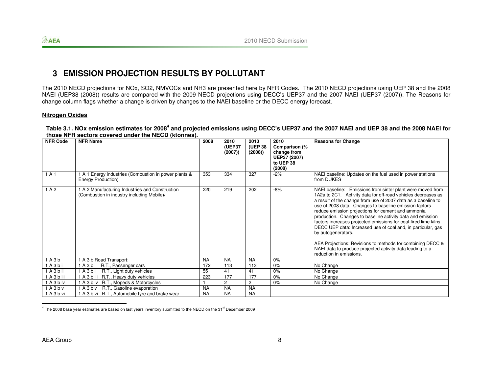# **3 EMISSION PROJECTION RESULTS BY POLLUTANT**

The 2010 NECD projections for NOx, SO2, NMVOCs and NH3 are presented here by NFR Codes. The 2010 NECD projections using UEP 38 and the 2008 NAEI (UEP38 (2008)) results are compared with the 2009 NECD projections using DECC's UEP37 and the 2007 NAEI (UEP37 (2007)). The Reasons for change column flags whether a change is driven by changes to the NAEI baseline or the DECC energy forecast.

#### **Nitrogen Oxides**

|                                                     | Table 3.1. NOx emission estimates for 2008 <sup>4</sup> and projected emissions using DECC's UEP37 and the 2007 NAEI and UEP 38 and the 2008 NAEI for |
|-----------------------------------------------------|-------------------------------------------------------------------------------------------------------------------------------------------------------|
| those NFR sectors covered under the NECD (ktonnes). |                                                                                                                                                       |

| <b>NFR Code</b> | <b>NFR Name</b>                                                                               | 2008      | 2010<br>(UEP37<br>(2007) | 2010<br>(UEP 38<br>(2008) | 2010<br>Comparison (%<br>change from<br>UEP37 (2007) | <b>Reasons for Change</b>                                                                                                                                                                                                                                                                                                                                                                                                                                                                                                                                                                                                                                                                  |
|-----------------|-----------------------------------------------------------------------------------------------|-----------|--------------------------|---------------------------|------------------------------------------------------|--------------------------------------------------------------------------------------------------------------------------------------------------------------------------------------------------------------------------------------------------------------------------------------------------------------------------------------------------------------------------------------------------------------------------------------------------------------------------------------------------------------------------------------------------------------------------------------------------------------------------------------------------------------------------------------------|
|                 |                                                                                               |           |                          |                           | to UEP 38<br>(2008)                                  |                                                                                                                                                                                                                                                                                                                                                                                                                                                                                                                                                                                                                                                                                            |
| 1 A 1           | 1 A 1 Energy industries (Combustion in power plants &<br>Energy Production)                   | 353       | 334                      | 327                       | $-2%$                                                | NAEI baseline: Updates on the fuel used in power stations<br>from DUKES                                                                                                                                                                                                                                                                                                                                                                                                                                                                                                                                                                                                                    |
| 1 A 2           | 1 A 2 Manufacturing Industries and Construction<br>(Combustion in industry including Mobile): | 220       | 219                      | 202                       | $-8%$                                                | NAEI baseline: Emissions from sinter plant were moved from<br>1A2a to 2C1. Activity data for off-road vehicles decreases as<br>a result of the change from use of 2007 data as a baseline to<br>use of 2008 data. Changes to baseline emission factors<br>reduce emission projections for cement and ammonia<br>production. Changes to baseline activity data and emission<br>factors increases projected emissions for coal-fired lime kilns.<br>DECC UEP data: Increased use of coal and, in particular, gas<br>by autogenerators.<br>AEA Projections: Revisions to methods for combining DECC &<br>NAEI data to produce projected activity data leading to a<br>reduction in emissions. |
| 1A3b            | 1 A 3 b Road Transport;                                                                       | <b>NA</b> | <b>NA</b>                | <b>NA</b>                 | 0%                                                   |                                                                                                                                                                                                                                                                                                                                                                                                                                                                                                                                                                                                                                                                                            |
| 1A3bi           | R.T., Passenger cars<br>1A3bi                                                                 | 172       | 113                      | 113                       | 0%                                                   | No Change                                                                                                                                                                                                                                                                                                                                                                                                                                                                                                                                                                                                                                                                                  |
| 1A3bii          | 1A3bii<br>R.T., Light duty vehicles                                                           | 55        | 41                       | 41                        | 0%                                                   | No Change                                                                                                                                                                                                                                                                                                                                                                                                                                                                                                                                                                                                                                                                                  |
| 1 A 3 b iii     | 1 A 3 b iii R.T., Heavy duty vehicles                                                         | 223       | 177                      | 177                       | 0%                                                   | No Change                                                                                                                                                                                                                                                                                                                                                                                                                                                                                                                                                                                                                                                                                  |
| 1 A 3 b iv      | 1 A 3 b iv R.T., Mopeds & Motorcycles                                                         |           | $\overline{2}$           | $\overline{c}$            | 0%                                                   | No Change                                                                                                                                                                                                                                                                                                                                                                                                                                                                                                                                                                                                                                                                                  |
| $1A3b$ v        | $1A3b$ v<br>R.T., Gasoline evaporation                                                        | <b>NA</b> | <b>NA</b>                | <b>NA</b>                 |                                                      |                                                                                                                                                                                                                                                                                                                                                                                                                                                                                                                                                                                                                                                                                            |
| 1 A 3 b vi      | 1 A 3 b vi R.T., Automobile tyre and brake wear                                               | <b>NA</b> | <b>NA</b>                | <b>NA</b>                 |                                                      |                                                                                                                                                                                                                                                                                                                                                                                                                                                                                                                                                                                                                                                                                            |

<sup>&</sup>lt;sup>4</sup> The 2008 base year estimates are based on last years inventory submitted to the NECD on the 31<sup>st</sup> December 2009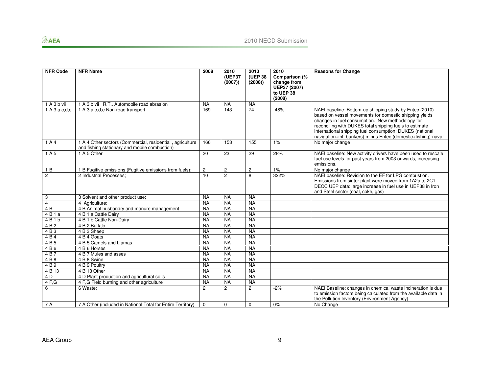

| <b>NFR Code</b>  | <b>NFR Name</b>                                                                                            | 2008           | 2010<br>(UEP37<br>(2007) | 2010<br>(UEP 38<br>(2008) | 2010<br>Comparison (%<br>change from<br>UEP37 (2007)<br>to UEP 38<br>(2008) | <b>Reasons for Change</b>                                                                                                                                                                                                                                                                                                                                     |
|------------------|------------------------------------------------------------------------------------------------------------|----------------|--------------------------|---------------------------|-----------------------------------------------------------------------------|---------------------------------------------------------------------------------------------------------------------------------------------------------------------------------------------------------------------------------------------------------------------------------------------------------------------------------------------------------------|
| 1 A 3 b vii      | 1 A 3 b vii R.T., Automobile road abrasion                                                                 | <b>NA</b>      | <b>NA</b>                | <b>NA</b>                 |                                                                             |                                                                                                                                                                                                                                                                                                                                                               |
| 1 A 3 a, c, d, e | 1 A 3 a,c,d,e Non-road transport                                                                           | 169            | 143                      | 74                        | $-48%$                                                                      | NAEI baseline: Bottom-up shipping study by Entec (2010)<br>based on vessel movements for domestic shipping yields<br>changes in fuel consumption. New methodology for<br>reconciling with DUKES total shipping fuels to estimate<br>international shipping fuel consumption: DUKES (national<br>navigation+int. bunkers) minus Entec (domestic+fishing)-naval |
| 1 A 4            | 1 A 4 Other sectors (Commercial, residential, agriculture<br>and fishing stationary and mobile combustion) | 166            | 153                      | 155                       | 1%                                                                          | No major change                                                                                                                                                                                                                                                                                                                                               |
| 1A5              | 1 A 5 Other                                                                                                | 30             | 23                       | $\overline{29}$           | 28%                                                                         | NAEI baseline: New activity drivers have been used to rescale<br>fuel use levels for past years from 2003 onwards, increasing<br>emissions.                                                                                                                                                                                                                   |
| 1B               | 1 B Fugitive emissions (Fugitive emissions from fuels);                                                    | $\overline{2}$ | $\mathbf{2}^{\prime}$    | $\overline{c}$            | 1%                                                                          | No major change                                                                                                                                                                                                                                                                                                                                               |
| $\overline{2}$   | 2 Industrial Processes:                                                                                    | 10             | $\overline{2}$           | 8                         | 322%                                                                        | NAEI baseline: Revision to the EF for LPG combustion.<br>Emissions from sinter plant were moved from 1A2a to 2C1.<br>DECC UEP data: large increase in fuel use in UEP38 in Iron<br>and Steel sector (coal, coke, gas)                                                                                                                                         |
| 3                | 3 Solvent and other product use:                                                                           | <b>NA</b>      | NA                       | NA                        |                                                                             |                                                                                                                                                                                                                                                                                                                                                               |
| $\overline{4}$   | 4 Agriculture;                                                                                             | <b>NA</b>      | NA                       | <b>NA</b>                 |                                                                             |                                                                                                                                                                                                                                                                                                                                                               |
| 4B               | 4 B Animal husbandry and manure management                                                                 | <b>NA</b>      | NA                       | <b>NA</b>                 |                                                                             |                                                                                                                                                                                                                                                                                                                                                               |
| 4B1a             | 4 B 1 a Cattle Dairy                                                                                       | <b>NA</b>      | <b>NA</b>                | <b>NA</b>                 |                                                                             |                                                                                                                                                                                                                                                                                                                                                               |
| 4B1b             | 4 B 1 b Cattle Non-Dairy                                                                                   | <b>NA</b>      | NA                       | <b>NA</b>                 |                                                                             |                                                                                                                                                                                                                                                                                                                                                               |
| 4 B 2            | 4 B 2 Buffalo                                                                                              | <b>NA</b>      | <b>NA</b>                | <b>NA</b>                 |                                                                             |                                                                                                                                                                                                                                                                                                                                                               |
| 4B3              | 4 B 3 Sheep                                                                                                | <b>NA</b>      | NA                       | NA                        |                                                                             |                                                                                                                                                                                                                                                                                                                                                               |
| 4B4              | 4 B 4 Goats                                                                                                | <b>NA</b>      | NA                       | <b>NA</b>                 |                                                                             |                                                                                                                                                                                                                                                                                                                                                               |
| 4 B 5            | 4 B 5 Camels and Llamas                                                                                    | <b>NA</b>      | <b>NA</b>                | <b>NA</b>                 |                                                                             |                                                                                                                                                                                                                                                                                                                                                               |
| 4B6              | 4 B 6 Horses                                                                                               | <b>NA</b>      | <b>NA</b>                | <b>NA</b>                 |                                                                             |                                                                                                                                                                                                                                                                                                                                                               |
| 4B7              | 4 B 7 Mules and asses                                                                                      | <b>NA</b>      | <b>NA</b>                | <b>NA</b>                 |                                                                             |                                                                                                                                                                                                                                                                                                                                                               |
| 4B8              | 4 B 8 Swine                                                                                                | <b>NA</b>      | <b>NA</b>                | <b>NA</b>                 |                                                                             |                                                                                                                                                                                                                                                                                                                                                               |
| 4B9              | 4 B 9 Poultry                                                                                              | <b>NA</b>      | <b>NA</b>                | <b>NA</b>                 |                                                                             |                                                                                                                                                                                                                                                                                                                                                               |
| 4 B 13           | 4 B 13 Other                                                                                               | <b>NA</b>      | <b>NA</b>                | <b>NA</b>                 |                                                                             |                                                                                                                                                                                                                                                                                                                                                               |
| 4 D              | 4 D Plant production and agricultural soils                                                                | <b>NA</b>      | <b>NA</b>                | <b>NA</b>                 |                                                                             |                                                                                                                                                                                                                                                                                                                                                               |
| 4 F, G           | 4 F,G Field burning and other agriculture                                                                  | <b>NA</b>      | <b>NA</b>                | <b>NA</b>                 |                                                                             |                                                                                                                                                                                                                                                                                                                                                               |
| 6                | 6 Waste:                                                                                                   | $\overline{2}$ | $\overline{2}$           | $\overline{2}$            | $-2%$                                                                       | NAEI Baseline: changes in chemical waste incineration is due<br>to emission factors being calculated from the available data in<br>the Pollution Inventory (Environment Agency)                                                                                                                                                                               |
| 7 A              | 7 A Other (included in National Total for Entire Territory)                                                | $\Omega$       | $\Omega$                 | $\Omega$                  | 0%                                                                          | No Change                                                                                                                                                                                                                                                                                                                                                     |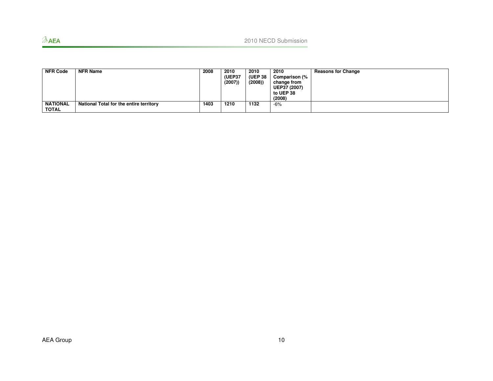

| <b>NFR Code</b>                 | <b>NFR Name</b>                         | 2008 | 2010<br>(UEP37<br>(2007) | 2010<br>(UEP 38<br>(2008) | 2010<br>Comparison (%<br>change from<br>UEP37 (2007)<br>to UEP 38<br>(2008) | <b>Reasons for Change</b> |
|---------------------------------|-----------------------------------------|------|--------------------------|---------------------------|-----------------------------------------------------------------------------|---------------------------|
| <b>NATIONAL</b><br><b>TOTAL</b> | National Total for the entire territory | 1403 | 1210                     | 1132                      | -6%                                                                         |                           |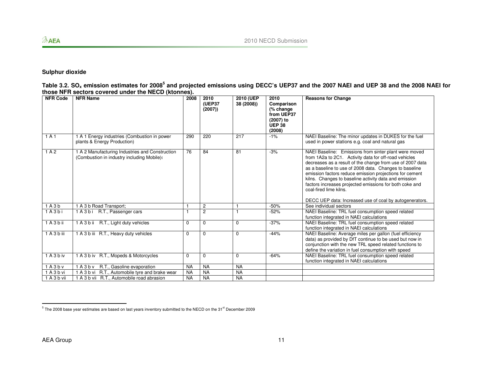

### **Sulphur dioxide**

| Table 3.2. SO <sub>x</sub> emission estimates for 2008 <sup>5</sup> and projected emissions using DECC's UEP37 and the 2007 NAEI and UEP 38 and the 2008 NAEI for |  |  |
|-------------------------------------------------------------------------------------------------------------------------------------------------------------------|--|--|
| those NFR sectors covered under the NECD (ktonnes).                                                                                                               |  |  |

| <b>NFR Code</b> | <b>NFR Name</b>                                                                               | 2008      | 2010<br>(UEP37<br>(2007) | 2010 (UEP<br>38 (2008)) | 2010<br>Comparison<br>(% change<br>from UEP37<br>(2007) to | <b>Reasons for Change</b>                                                                                                                                                                                                                                                                                                                                                                                                                                                                                 |
|-----------------|-----------------------------------------------------------------------------------------------|-----------|--------------------------|-------------------------|------------------------------------------------------------|-----------------------------------------------------------------------------------------------------------------------------------------------------------------------------------------------------------------------------------------------------------------------------------------------------------------------------------------------------------------------------------------------------------------------------------------------------------------------------------------------------------|
|                 |                                                                                               |           |                          |                         | <b>UEP 38</b><br>(2008)                                    |                                                                                                                                                                                                                                                                                                                                                                                                                                                                                                           |
| 1 A 1           | 1 A 1 Energy industries (Combustion in power<br>plants & Energy Production)                   | 290       | 220                      | 217                     | $-1%$                                                      | NAEI Baseline: The minor updates in DUKES for the fuel<br>used in power stations e.g. coal and natural gas                                                                                                                                                                                                                                                                                                                                                                                                |
| 1 A 2           | 1 A 2 Manufacturing Industries and Construction<br>(Combustion in industry including Mobile): | 76        | 84                       | $\overline{81}$         | $-3%$                                                      | NAEI Baseline: Emissions from sinter plant were moved<br>from 1A2a to 2C1. Activity data for off-road vehicles<br>decreases as a result of the change from use of 2007 data<br>as a baseline to use of 2008 data. Changes to baseline<br>emission factors reduce emission projections for cement<br>kilns. Changes to baseline activity data and emission<br>factors increases projected emissions for both coke and<br>coal-fired lime kilns.<br>DECC UEP data: Increased use of coal by autogenerators. |
| 1 A 3 b         | 1 A 3 b Road Transport:                                                                       |           | $\overline{2}$           |                         | $-50%$                                                     | See individual sectors                                                                                                                                                                                                                                                                                                                                                                                                                                                                                    |
| 1A3bi           | 1 A 3 b i R.T., Passenger cars                                                                |           | $\overline{2}$           |                         | $-52%$                                                     | NAEI Baseline: TRL fuel consumption speed related<br>function integrated in NAEI calculations                                                                                                                                                                                                                                                                                                                                                                                                             |
| 1A3bii          | 1 A 3 b ii R.T., Light duty vehicles                                                          | $\Omega$  | $\Omega$                 | $\mathbf 0$             | $-37%$                                                     | NAEI Baseline: TRL fuel consumption speed related<br>function integrated in NAEI calculations                                                                                                                                                                                                                                                                                                                                                                                                             |
| 1A3biii         | 1 A 3 b iii R.T., Heavy duty vehicles                                                         | $\Omega$  | $\Omega$                 | $\Omega$                | $-44%$                                                     | NAEI Baseline: Average miles per gallon (fuel efficiency<br>data) as provided by DfT continue to be used but now in<br>conjunction with the new TRL speed related functions to<br>define the variation in fuel consumption with speed                                                                                                                                                                                                                                                                     |
| 1 A 3 b iv      | 1 A 3 b iv R.T., Mopeds & Motorcycles                                                         | $\Omega$  | $\Omega$                 | $\mathbf 0$             | $-64%$                                                     | NAEI Baseline: TRL fuel consumption speed related<br>function integrated in NAEI calculations                                                                                                                                                                                                                                                                                                                                                                                                             |
| $1A3b$ v        | 1A3bv<br>R.T., Gasoline evaporation                                                           | <b>NA</b> | <b>NA</b>                | <b>NA</b>               |                                                            |                                                                                                                                                                                                                                                                                                                                                                                                                                                                                                           |
| 1A3bvi          | 1 A 3 b vi R.T., Automobile tyre and brake wear                                               | <b>NA</b> | <b>NA</b>                | <b>NA</b>               |                                                            |                                                                                                                                                                                                                                                                                                                                                                                                                                                                                                           |
| 1 A 3 b vii     | 1 A 3 b vii R.T., Automobile road abrasion                                                    | <b>NA</b> | <b>NA</b>                | <b>NA</b>               |                                                            |                                                                                                                                                                                                                                                                                                                                                                                                                                                                                                           |

 $5$  The 2008 base year estimates are based on last years inventory submitted to the NECD on the 31 $\mathrm{^{st}}$  December 2009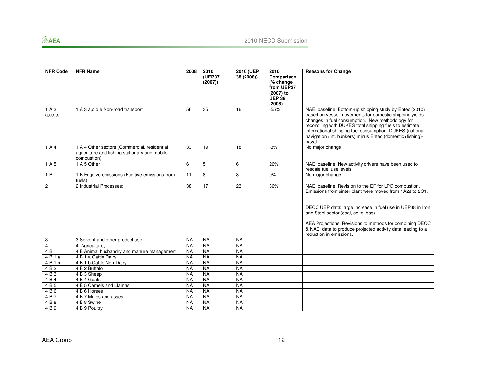

| <b>NFR Code</b>  | <b>NFR Name</b>                                                                                               | 2008            | 2010<br>(UEP37<br>(2007) | <b>2010 (UEP</b><br>38 (2008)) | 2010<br>Comparison<br>(% change<br>from UEP37<br>(2007) to<br><b>UEP 38</b><br>(2008) | <b>Reasons for Change</b>                                                                                                                                                                                                                                                                                                                                                   |
|------------------|---------------------------------------------------------------------------------------------------------------|-----------------|--------------------------|--------------------------------|---------------------------------------------------------------------------------------|-----------------------------------------------------------------------------------------------------------------------------------------------------------------------------------------------------------------------------------------------------------------------------------------------------------------------------------------------------------------------------|
| 1 A 3<br>a,c,d,e | 1 A 3 a,c,d,e Non-road transport                                                                              | 56              | 35                       | 16                             | $-55%$                                                                                | NAEI baseline: Bottom-up shipping study by Entec (2010)<br>based on vessel movements for domestic shipping yields<br>changes in fuel consumption. New methodology for<br>reconciling with DUKES total shipping fuels to estimate<br>international shipping fuel consumption: DUKES (national<br>navigation+int. bunkers) minus Entec (domestic+fishing)-<br>naval           |
| 1 A 4            | 1 A 4 Other sectors (Commercial, residential,<br>agriculture and fishing stationary and mobile<br>combustion) | 33              | 19                       | 18                             | $-3%$                                                                                 | No major change                                                                                                                                                                                                                                                                                                                                                             |
| 1A5              | 1 A 5 Other                                                                                                   | 6               | 5                        | 6                              | 26%                                                                                   | NAEI baseline: New activity drivers have been used to<br>rescale fuel use levels                                                                                                                                                                                                                                                                                            |
| $\overline{1}$ B | 1 B Fugitive emissions (Fugitive emissions from<br>fuels);                                                    | $\overline{11}$ | 8                        | 8                              | 9%                                                                                    | No major change                                                                                                                                                                                                                                                                                                                                                             |
| $\mathbf{2}$     | 2 Industrial Processes;                                                                                       | 38              | 17                       | 23                             | 36%                                                                                   | NAEI baseline: Revision to the EF for LPG combustion.<br>Emissions from sinter plant were moved from 1A2a to 2C1.<br>DECC UEP data: large increase in fuel use in UEP38 in Iron<br>and Steel sector (coal, coke, gas)<br>AEA Projections: Revisions to methods for combining DECC<br>& NAEI data to produce projected activity data leading to a<br>reduction in emissions. |
| 3                | 3 Solvent and other product use;                                                                              | <b>NA</b>       | <b>NA</b>                | <b>NA</b>                      |                                                                                       |                                                                                                                                                                                                                                                                                                                                                                             |
| $\overline{4}$   | 4 Agriculture:                                                                                                | <b>NA</b>       | <b>NA</b>                | <b>NA</b>                      |                                                                                       |                                                                                                                                                                                                                                                                                                                                                                             |
| $\overline{4B}$  | 4 B Animal husbandry and manure management                                                                    | <b>NA</b>       | <b>NA</b>                | <b>NA</b>                      |                                                                                       |                                                                                                                                                                                                                                                                                                                                                                             |
| 4B1a             | 4 B 1 a Cattle Dairy                                                                                          | <b>NA</b>       | <b>NA</b>                | <b>NA</b>                      |                                                                                       |                                                                                                                                                                                                                                                                                                                                                                             |
| 4 B 1 b          | 4 B 1 b Cattle Non-Dairy                                                                                      | <b>NA</b>       | <b>NA</b>                | N <sub>A</sub>                 |                                                                                       |                                                                                                                                                                                                                                                                                                                                                                             |
| 4B2              | 4 B 2 Buffalo                                                                                                 | <b>NA</b>       | <b>NA</b>                | <b>NA</b>                      |                                                                                       |                                                                                                                                                                                                                                                                                                                                                                             |
| 4B3              | 4 B 3 Sheep                                                                                                   | <b>NA</b>       | <b>NA</b>                | <b>NA</b>                      |                                                                                       |                                                                                                                                                                                                                                                                                                                                                                             |
| 4B4              | 4 B 4 Goats                                                                                                   | <b>NA</b>       | <b>NA</b>                | <b>NA</b>                      |                                                                                       |                                                                                                                                                                                                                                                                                                                                                                             |
| 4 B 5            | 4 B 5 Camels and Llamas                                                                                       | <b>NA</b>       | <b>NA</b>                | <b>NA</b>                      |                                                                                       |                                                                                                                                                                                                                                                                                                                                                                             |
| 4 B 6            | 4 B 6 Horses                                                                                                  | <b>NA</b>       | <b>NA</b>                | <b>NA</b>                      |                                                                                       |                                                                                                                                                                                                                                                                                                                                                                             |
| 4 B 7            | 4 B 7 Mules and asses                                                                                         | <b>NA</b>       | <b>NA</b>                | <b>NA</b>                      |                                                                                       |                                                                                                                                                                                                                                                                                                                                                                             |
| 4 B 8            | 4 B 8 Swine                                                                                                   | <b>NA</b>       | <b>NA</b>                | <b>NA</b>                      |                                                                                       |                                                                                                                                                                                                                                                                                                                                                                             |
| 4B9              | 4 B 9 Poultry                                                                                                 | <b>NA</b>       | <b>NA</b>                | <b>NA</b>                      |                                                                                       |                                                                                                                                                                                                                                                                                                                                                                             |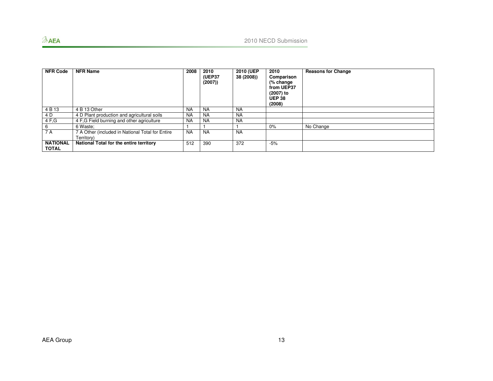

| <b>NFR Code</b>          | <b>NFR Name</b>                                  | 2008      | 2010<br>(UEP37<br>(2007) | 2010 (UEP<br>38 (2008)) | 2010<br>Comparison<br>$%$ change<br>from UEP37<br>(2007) to<br><b>UEP 38</b><br>(2008) | <b>Reasons for Change</b> |
|--------------------------|--------------------------------------------------|-----------|--------------------------|-------------------------|----------------------------------------------------------------------------------------|---------------------------|
| 4 B 13                   | 4 B 13 Other                                     | <b>NA</b> | <b>NA</b>                | <b>NA</b>               |                                                                                        |                           |
| 4 D                      | 4 D Plant production and agricultural soils      | <b>NA</b> | <b>NA</b>                | <b>NA</b>               |                                                                                        |                           |
| 4 F.G                    | 4 F, G Field burning and other agriculture       | <b>NA</b> | <b>NA</b>                | <b>NA</b>               |                                                                                        |                           |
| 6                        | 6 Waste:                                         |           |                          |                         | 0%                                                                                     | No Change                 |
| 7 A                      | 7 A Other (included in National Total for Entire | <b>NA</b> | <b>NA</b>                | <b>NA</b>               |                                                                                        |                           |
|                          | Territorv)                                       |           |                          |                         |                                                                                        |                           |
| <b>NATIONAL</b><br>TOTAL | National Total for the entire territory          | 512       | 390                      | 372                     | -5%                                                                                    |                           |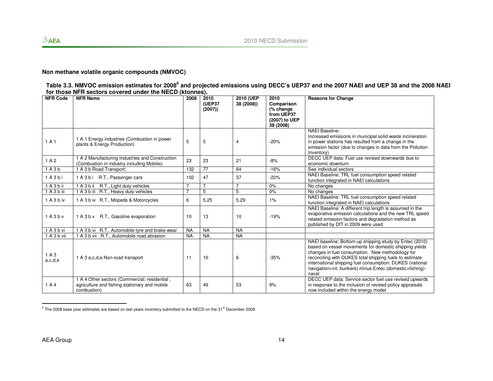**Non methane volatile organic compounds (NMVOC)** 

|                                                         | Table 3.3. NMVOC emission estimates for 2008 <sup>6</sup> and projected emissions using DECC's UEP37 and the 2007 NAEI and UEP 38 and the 2008 NAEI |
|---------------------------------------------------------|-----------------------------------------------------------------------------------------------------------------------------------------------------|
| for those NFR sectors covered under the NECD (ktonnes). |                                                                                                                                                     |

| <b>NFR Code</b> | <b>NFR Name</b>                                                       | 2008           | 2010             | 2010 (UEP      | 2010                     | <b>Reasons for Change</b>                                                                                           |
|-----------------|-----------------------------------------------------------------------|----------------|------------------|----------------|--------------------------|---------------------------------------------------------------------------------------------------------------------|
|                 |                                                                       |                | (UEP37<br>(2007) | 38 (2008))     | Comparison<br>(% change) |                                                                                                                     |
|                 |                                                                       |                |                  |                | from UEP37               |                                                                                                                     |
|                 |                                                                       |                |                  |                | (2007) to UEP            |                                                                                                                     |
|                 |                                                                       |                |                  |                | 38 (2008)                |                                                                                                                     |
|                 |                                                                       |                |                  |                |                          | <b>NAEI</b> Baseline:<br>Increased emissions in municipal solid waste incineration                                  |
| 1A1             | 1 A 1 Energy industries (Combustion in power                          | 5              | 5                | 4              | $-20%$                   | in power stations has resulted from a change in the                                                                 |
|                 | plants & Energy Production)                                           |                |                  |                |                          | emission factor (due to changes in data from the Pollution                                                          |
|                 |                                                                       |                |                  |                |                          | Inventory)                                                                                                          |
| 1 A 2           | 1 A 2 Manufacturing Industries and Construction                       | 23             | 23               | 21             | $-8%$                    | DECC UEP data: Fuel use revised downwards due to                                                                    |
| 1A3b            | (Combustion in industry including Mobile):<br>1 A 3 b Road Transport: | 132            | 77               | 64             | $-16%$                   | economic downturn<br>See individual sectors                                                                         |
|                 |                                                                       |                |                  |                |                          | NAEI Baseline: TRL fuel consumption speed related                                                                   |
| 1A3bi           | 1 A 3 b i R.T., Passenger cars                                        | 102            | 47               | 37             | $-22%$                   | function integrated in NAEI calculations                                                                            |
| 1A3bi           | 1A3bi<br>R.T., Light duty vehicles                                    | $\overline{7}$ | $\overline{7}$   | $\overline{7}$ | 0%                       | No changes                                                                                                          |
| 1 A 3 b iii     | 1 A 3 b iii R.T., Heavy duty vehicles                                 | $\overline{7}$ | 5                | 5              | 0%                       | No changes                                                                                                          |
| 1A3biv          | 1 A 3 b iv R.T., Mopeds & Motorcycles                                 | 6              | 5.25             | 5.29           | 1%                       | NAEI Baseline: TRL fuel consumption speed related<br>function integrated in NAEI calculations                       |
|                 |                                                                       |                |                  |                |                          | NAEI Baseline: A different trip length is assumed in the                                                            |
| 1A3bv           | 1 A 3 b v R.T., Gasoline evaporation                                  | 10             | 13               | 10             | $-19%$                   | evaporative emission calculations and the new TRL speed                                                             |
|                 |                                                                       |                |                  |                |                          | related emission factors and degradation method as<br>published by DfT in 2009 were used                            |
| 1A3bvi          | 1 A 3 b vi R.T., Automobile tyre and brake wear                       | <b>NA</b>      | <b>NA</b>        | <b>NA</b>      |                          |                                                                                                                     |
| 1 A 3 b vii     | 1 A 3 b vii R.T., Automobile road abrasion                            | <b>NA</b>      | <b>NA</b>        | <b>NA</b>      |                          |                                                                                                                     |
|                 |                                                                       |                |                  |                |                          | NAEI baseline: Bottom-up shipping study by Entec (2010)                                                             |
|                 |                                                                       |                |                  |                |                          | based on vessel movements for domestic shipping yields                                                              |
| 1 A 3           |                                                                       |                |                  |                |                          | changes in fuel consumption. New methodology for                                                                    |
| a,c,d,e         | 1 A 3 a,c,d,e Non-road transport                                      | 11             | 10 <sup>10</sup> | 6              | $-35%$                   | reconciling with DUKES total shipping fuels to estimate<br>international shipping fuel consumption: DUKES (national |
|                 |                                                                       |                |                  |                |                          | navigation+int. bunkers) minus Entec (domestic+fishing)-                                                            |
|                 |                                                                       |                |                  |                |                          | naval                                                                                                               |
|                 | 1 A 4 Other sectors (Commercial, residential,                         |                |                  |                |                          | DECC UEP data: Service sector fuel use revised upwards                                                              |
| 1 A 4           | agriculture and fishing stationary and mobile                         | 63             | 49               | 53             | 9%                       | in response to the inclusion of revised policy appraisals                                                           |
|                 | combustion)                                                           |                |                  |                |                          | now included within the energy model                                                                                |

 $6$  The 2008 base year estimates are based on last years inventory submitted to the NECD on the 31 $\mathrm{^{st}}$  December 2009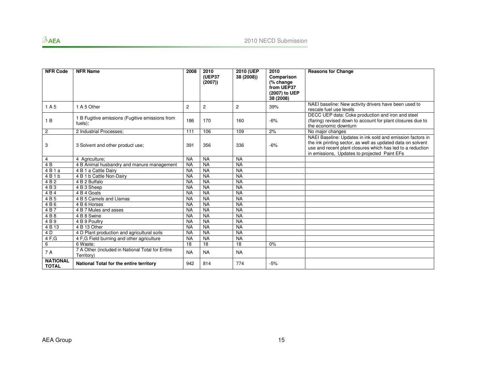

| <b>NFR Code</b>                 | <b>NFR Name</b>                                                | 2008           | 2010<br>(UEP37<br>(2007) | <b>2010 (UEP</b><br>38 (2008)) | 2010<br>Comparison<br>(% change)<br>from UEP37<br>(2007) to UEP<br>38 (2008) | <b>Reasons for Change</b>                                                                                                                                                                                                               |
|---------------------------------|----------------------------------------------------------------|----------------|--------------------------|--------------------------------|------------------------------------------------------------------------------|-----------------------------------------------------------------------------------------------------------------------------------------------------------------------------------------------------------------------------------------|
| 1A5                             | 1 A 5 Other                                                    | $\overline{2}$ | $\overline{c}$           | $\overline{2}$                 | 39%                                                                          | NAEI baseline: New activity drivers have been used to<br>rescale fuel use levels                                                                                                                                                        |
| 1B                              | 1 B Fugitive emissions (Fugitive emissions from<br>fuels);     | 186            | 170                      | 160                            | $-6%$                                                                        | DECC UEP data: Coke production and iron and steel<br>(flaring) revised down to account for plant closures due to<br>the economic downturn                                                                                               |
| $\overline{2}$                  | 2 Industrial Processes;                                        | 111            | 106                      | 109                            | 2%                                                                           | No major changes                                                                                                                                                                                                                        |
| 3                               | 3 Solvent and other product use;                               | 391            | 356                      | 336                            | $-6%$                                                                        | NAEI Baseline: Updates in ink sold and emission factors in<br>the ink printing sector, as well as updated data on solvent<br>use and recent plant closures which has led to a reduction<br>in emissions, Updates to projected Paint EFs |
| $\overline{4}$                  | 4 Agriculture:                                                 | <b>NA</b>      | <b>NA</b>                | <b>NA</b>                      |                                                                              |                                                                                                                                                                                                                                         |
| 4 B                             | 4 B Animal husbandry and manure management                     | <b>NA</b>      | <b>NA</b>                | <b>NA</b>                      |                                                                              |                                                                                                                                                                                                                                         |
| 4 B 1 a                         | 4 B 1 a Cattle Dairy                                           | <b>NA</b>      | <b>NA</b>                | <b>NA</b>                      |                                                                              |                                                                                                                                                                                                                                         |
| 4 B 1 b                         | 4 B 1 b Cattle Non-Dairy                                       | <b>NA</b>      | <b>NA</b>                | <b>NA</b>                      |                                                                              |                                                                                                                                                                                                                                         |
| 4 B 2                           | 4 B 2 Buffalo                                                  | <b>NA</b>      | <b>NA</b>                | <b>NA</b>                      |                                                                              |                                                                                                                                                                                                                                         |
| 4 B 3                           | 4 B 3 Sheep                                                    | <b>NA</b>      | <b>NA</b>                | <b>NA</b>                      |                                                                              |                                                                                                                                                                                                                                         |
| 4 B 4                           | 4 B 4 Goats                                                    | <b>NA</b>      | <b>NA</b>                | <b>NA</b>                      |                                                                              |                                                                                                                                                                                                                                         |
| 4 B 5                           | 4 B 5 Camels and Llamas                                        | <b>NA</b>      | <b>NA</b>                | <b>NA</b>                      |                                                                              |                                                                                                                                                                                                                                         |
| 4 B 6                           | 4 B 6 Horses                                                   | <b>NA</b>      | <b>NA</b>                | <b>NA</b>                      |                                                                              |                                                                                                                                                                                                                                         |
| 4B7                             | $\overline{4}$ B 7 Mules and asses                             | <b>NA</b>      | <b>NA</b>                | <b>NA</b>                      |                                                                              |                                                                                                                                                                                                                                         |
| 4 B 8                           | 4 B 8 Swine                                                    | <b>NA</b>      | <b>NA</b>                | <b>NA</b>                      |                                                                              |                                                                                                                                                                                                                                         |
| 4B9                             | 4 B 9 Poultry                                                  | <b>NA</b>      | <b>NA</b>                | <b>NA</b>                      |                                                                              |                                                                                                                                                                                                                                         |
| 4 B 13                          | 4 B 13 Other                                                   | <b>NA</b>      | <b>NA</b>                | <b>NA</b>                      |                                                                              |                                                                                                                                                                                                                                         |
| 4 D                             | 4 D Plant production and agricultural soils                    | <b>NA</b>      | <b>NA</b>                | <b>NA</b>                      |                                                                              |                                                                                                                                                                                                                                         |
| 4F.G                            | 4 F,G Field burning and other agriculture                      | <b>NA</b>      | <b>NA</b>                | <b>NA</b>                      |                                                                              |                                                                                                                                                                                                                                         |
| 6                               | 6 Waste:                                                       | 18             | 18                       | 18                             | 0%                                                                           |                                                                                                                                                                                                                                         |
| 7 A                             | 7 A Other (included in National Total for Entire<br>Territory) | <b>NA</b>      | <b>NA</b>                | <b>NA</b>                      |                                                                              |                                                                                                                                                                                                                                         |
| <b>NATIONAL</b><br><b>TOTAL</b> | National Total for the entire territory                        | 942            | 814                      | 774                            | $-5%$                                                                        |                                                                                                                                                                                                                                         |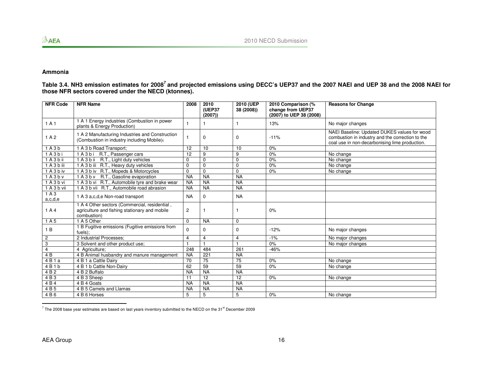

#### **Ammonia**

**Table 3.4. NH3 emission estimates for 2008<sup>7</sup>and projected emissions using DECC's UEP37 and the 2007 NAEI and UEP 38 and the 2008 NAEI for those NFR sectors covered under the NECD (ktonnes).**

| <b>NFR Code</b>     | <b>NFR Name</b>                                                                                               | 2008            | 2010<br>(UEP37<br>(2007) | 2010 (UEP<br>38 (2008)) | 2010 Comparison (%<br>change from UEP37<br>(2007) to UEP 38 (2008) | <b>Reasons for Change</b>                                                                                                                          |
|---------------------|---------------------------------------------------------------------------------------------------------------|-----------------|--------------------------|-------------------------|--------------------------------------------------------------------|----------------------------------------------------------------------------------------------------------------------------------------------------|
| 1 A 1               | 1 A 1 Energy industries (Combustion in power<br>plants & Energy Production)                                   | 1               | $\overline{1}$           |                         | 13%                                                                | No major changes                                                                                                                                   |
| 1 A 2               | 1 A 2 Manufacturing Industries and Construction<br>(Combustion in industry including Mobile):                 | 1               | $\mathbf 0$              | 0                       | $-11%$                                                             | NAEI Baseline: Updated DUKES values for wood<br>combustion in industry and the correction to the<br>coal use in non-decarbonising lime production. |
| 1A3b                | 1 A 3 b Road Transport;                                                                                       | 12              | 10                       | 10                      | 0%                                                                 |                                                                                                                                                    |
| 1A3bi               | 1 A 3 b i R.T., Passenger cars                                                                                | $\overline{12}$ | 9                        | 9                       | 0%                                                                 | No change                                                                                                                                          |
| 1A3bii              | 1 A 3 b ii R.T., Light duty vehicles                                                                          | 0               | $\Omega$                 | 0                       | 0%                                                                 | No change                                                                                                                                          |
| 1A3biii             | 1 A 3 b iii R.T., Heavy duty vehicles                                                                         | $\Omega$        | $\Omega$                 | $\Omega$                | 0%                                                                 | No change                                                                                                                                          |
| 1 A 3 b iv          | 1 A 3 b iv R.T., Mopeds & Motorcycles                                                                         | $\mathbf 0$     | $\Omega$                 | $\Omega$                | 0%                                                                 | No change                                                                                                                                          |
| $1A3b$ v            | 1 A 3 b v R.T., Gasoline evaporation                                                                          | <b>NA</b>       | <b>NA</b>                | <b>NA</b>               |                                                                    |                                                                                                                                                    |
| 1 A 3 b vi          | 1 A 3 b vi R.T., Automobile tyre and brake wear                                                               | <b>NA</b>       | <b>NA</b>                | <b>NA</b>               |                                                                    |                                                                                                                                                    |
| 1 A 3 b vii         | 1 A 3 b vii R.T., Automobile road abrasion                                                                    | <b>NA</b>       | <b>NA</b>                | <b>NA</b>               |                                                                    |                                                                                                                                                    |
| 1 A 3<br>a, c, d, e | 1 A 3 a,c,d,e Non-road transport                                                                              | <b>NA</b>       | 0                        | <b>NA</b>               |                                                                    |                                                                                                                                                    |
| 1 A 4               | 1 A 4 Other sectors (Commercial, residential,<br>agriculture and fishing stationary and mobile<br>combustion) | $\overline{2}$  | 1                        |                         | 0%                                                                 |                                                                                                                                                    |
| 1A5                 | 1 A 5 Other                                                                                                   | $\Omega$        | <b>NA</b>                | 0                       |                                                                    |                                                                                                                                                    |
| IB                  | 1 B Fugitive emissions (Fugitive emissions from<br>fuels);                                                    | $\Omega$        | $\Omega$                 | 0                       | $-12%$                                                             | No major changes                                                                                                                                   |
| $\overline{c}$      | 2 Industrial Processes:                                                                                       | 4               | 4                        | 4                       | $-1%$                                                              | No major changes                                                                                                                                   |
| 3                   | 3 Solvent and other product use;                                                                              |                 |                          |                         | 0%                                                                 | No major changes                                                                                                                                   |
| $\overline{4}$      | 4 Agriculture:                                                                                                | 248             | 484                      | 261                     | $-46%$                                                             |                                                                                                                                                    |
| $\overline{4B}$     | 4 B Animal husbandry and manure management                                                                    | <b>NA</b>       | 221                      | <b>NA</b>               |                                                                    |                                                                                                                                                    |
| 4B1a                | 4 B 1 a Cattle Dairy                                                                                          | 70              | 75                       | 75                      | 0%                                                                 | No change                                                                                                                                          |
| 4 B 1 b             | 4 B 1 b Cattle Non-Dairy                                                                                      | 62              | 59                       | 59                      | 0%                                                                 | No change                                                                                                                                          |
| 4B2                 | 4 B 2 Buffalo                                                                                                 | <b>NA</b>       | <b>NA</b>                | <b>NA</b>               |                                                                    |                                                                                                                                                    |
| $4B\overline{3}$    | 4 B 3 Sheep                                                                                                   | 11              | 12                       | 12                      | 0%                                                                 | No change                                                                                                                                          |
| 4 B 4               | 4 B 4 Goats                                                                                                   | <b>NA</b>       | <b>NA</b>                | <b>NA</b>               |                                                                    |                                                                                                                                                    |
| 4B5                 | 4 B 5 Camels and Llamas                                                                                       | <b>NA</b>       | <b>NA</b>                | <b>NA</b>               |                                                                    |                                                                                                                                                    |
| 4B6                 | 4 B 6 Horses                                                                                                  | 5               | 5                        | 5                       | 0%                                                                 | No change                                                                                                                                          |

 $7$  The 2008 base year estimates are based on last years inventory submitted to the NECD on the 31<sup>st</sup> December 2009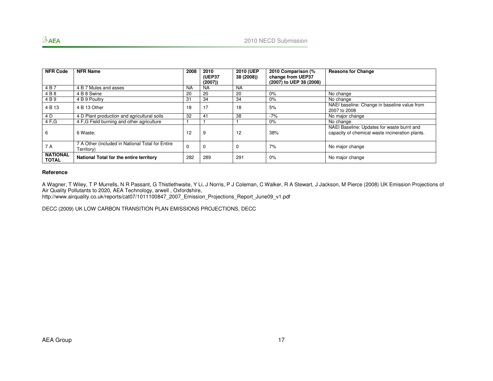| <b>NFR Code</b>                 | <b>NFR Name</b>                                                | 2008      | 2010<br>(UEP37<br>(2007) | 2010 (UEP<br>38 (2008)) | 2010 Comparison (%<br>change from UEP37<br>(2007) to UEP 38 (2008) | <b>Reasons for Change</b>                                                                     |
|---------------------------------|----------------------------------------------------------------|-----------|--------------------------|-------------------------|--------------------------------------------------------------------|-----------------------------------------------------------------------------------------------|
| 4 B 7                           | 4 B 7 Mules and asses                                          | <b>NA</b> | <b>NA</b>                | <b>NA</b>               |                                                                    |                                                                                               |
| 4 B 8                           | 4 B 8 Swine                                                    | 20        | 20                       | 20                      | 0%                                                                 | No change                                                                                     |
| 4 B 9                           | 4 B 9 Poultry                                                  | 31        | 34                       | 34                      | 0%                                                                 | No change                                                                                     |
| 4 B 13                          | 4 B 13 Other                                                   | 18        | 17                       | 18                      | 5%                                                                 | NAEI baseline: Change in baseline value from<br>2007 to 2008                                  |
| 4 D                             | 4 D Plant production and agricultural soils                    | 32        | 41                       | 38                      | -7%                                                                | No major change                                                                               |
| 4 F.G                           | 4 F.G Field burning and other agriculture                      |           |                          |                         | $0\%$                                                              | No change                                                                                     |
| h                               | 6 Waste:                                                       | 12        | -9                       | 12                      | 38%                                                                | NAEI Baseline: Updates for waste burnt and<br>capacity of chemical waste incineration plants. |
| 7 A                             | 7 A Other (included in National Total for Entire<br>Territory) | $\Omega$  |                          |                         | 7%                                                                 | No major change                                                                               |
| <b>NATIONAL</b><br><b>TOTAL</b> | National Total for the entire territory                        | 282       | 289                      | 291                     | 0%                                                                 | No major change                                                                               |

#### **Reference**

A Wagner, T Wiley, T P Murrells, N R Passant, G Thistlethwaite, Y Li, J Norris, P J Coleman, C Walker, R A Stewart, J Jackson, M Pierce (2008) UK Emission Projections of Air Quality Pollutants to 2020, AEA Technology, arwell , Oxfordshire,

http://www.airquality.co.uk/reports/cat07/1011100847\_2007\_Emission\_Projections\_Report\_June09\_v1.pdf

DECC (2009) UK LOW CARBON TRANSITION PLAN EMISSIONS PROJECTIONS, DECC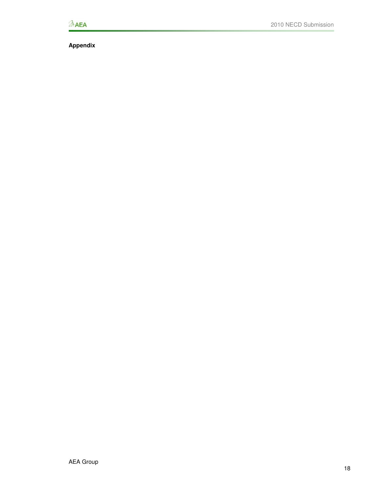**Appendix**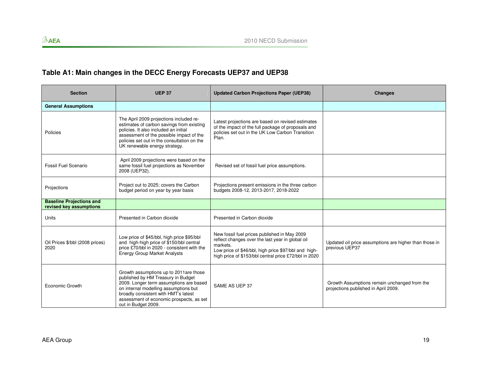# **Table A1: Main changes in the DECC Energy Forecasts UEP37 and UEP38**

| <b>Section</b>                                             | <b>UEP 37</b>                                                                                                                                                                                                                                                               | <b>Updated Carbon Projections Paper (UEP38)</b>                                                                                                                                                                               | <b>Changes</b>                                                                       |
|------------------------------------------------------------|-----------------------------------------------------------------------------------------------------------------------------------------------------------------------------------------------------------------------------------------------------------------------------|-------------------------------------------------------------------------------------------------------------------------------------------------------------------------------------------------------------------------------|--------------------------------------------------------------------------------------|
| <b>General Assumptions</b>                                 |                                                                                                                                                                                                                                                                             |                                                                                                                                                                                                                               |                                                                                      |
| Policies                                                   | The April 2009 projections included re-<br>estimates of carbon savings from existing<br>policies. It also included an initial<br>assessment of the possible impact of the<br>policies set out in the consultation on the<br>UK renewable energy strategy.                   | Latest projections are based on revised estimates<br>of the impact of the full package of proposals and<br>policies set out in the UK Low Carbon Transition<br>Plan.                                                          |                                                                                      |
| Fossil Fuel Scenario                                       | April 2009 projections were based on the<br>same fossil fuel projections as November<br>2008 (UEP32).                                                                                                                                                                       | Revised set of fossil fuel price assumptions.                                                                                                                                                                                 |                                                                                      |
| Projections                                                | Project out to 2025; covers the Carbon<br>budget period on year by year basis                                                                                                                                                                                               | Projections present emissions in the three carbon<br>budgets 2008-12, 2013-2017, 2018-2022                                                                                                                                    |                                                                                      |
| <b>Baseline Projections and</b><br>revised key assumptions |                                                                                                                                                                                                                                                                             |                                                                                                                                                                                                                               |                                                                                      |
| Units                                                      | Presented in Carbon dioxide                                                                                                                                                                                                                                                 | Presented in Carbon dioxide                                                                                                                                                                                                   |                                                                                      |
| Oil Prices \$/bbl (2008 prices)<br>2020                    | Low price of \$45/bbl, high price \$95/bbl<br>and high-high price of \$150/bbl central<br>price £70/bbl in 2020 - consistent with the<br><b>Energy Group Market Analysts</b>                                                                                                | New fossil fuel prices published in May 2009<br>reflect changes over the last year in global oil<br>markets.<br>Low price of \$46/bbl, high price \$97/bbl and high-<br>high price of \$153/bbl central price £72/bbl in 2020 | Updated oil price assumptions are higher than those in<br>previous UEP37             |
| Economic Growth                                            | Growth assumptions up to 2011are those<br>published by HM Treasury in Budget<br>2009. Longer term assumptions are based<br>on internal modelling assumptions but<br>broadly consistent with HMT's latest<br>assessment of economic prospects, as set<br>out in Budget 2009. | SAME AS UEP 37                                                                                                                                                                                                                | Growth Assumptions remain unchanged from the<br>projections published in April 2009. |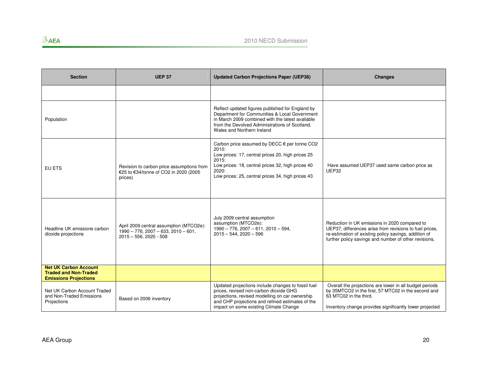| <b>Section</b>                                                                               | <b>UEP 37</b>                                                                                                  | <b>Updated Carbon Projections Paper (UEP38)</b>                                                                                                                                                                                                 | <b>Changes</b>                                                                                                                                                                                                             |
|----------------------------------------------------------------------------------------------|----------------------------------------------------------------------------------------------------------------|-------------------------------------------------------------------------------------------------------------------------------------------------------------------------------------------------------------------------------------------------|----------------------------------------------------------------------------------------------------------------------------------------------------------------------------------------------------------------------------|
|                                                                                              |                                                                                                                |                                                                                                                                                                                                                                                 |                                                                                                                                                                                                                            |
| Population                                                                                   |                                                                                                                | Reflect updated figures published for England by<br>Department for Communities & Local Government<br>in March 2009 combined with the latest available<br>from the Devolved Administrations of Scotland,<br>Wales and Northern Ireland           |                                                                                                                                                                                                                            |
| EU ETS                                                                                       | Revision to carbon price assumptions from<br>€25 to €34/tonne of CO2 in 2020 (2005<br>prices)                  | Carbon price assumed by DECC $\epsilon$ per tonne CO2<br>2010:<br>Low prices: 17, central prices 20, high prices 25<br>2015:<br>Low prices: 18, central prices 32, high prices 40<br>2020:<br>Low prices: 25, central prices 34, high prices 43 | Have assumed UEP37 used same carbon price as<br>UEP32                                                                                                                                                                      |
| Headline UK emissions carbon<br>dioxide projections                                          | April 2009 central assumption (MTCO2e):<br>$1990 - 776$ , 2007 - 633, 2010 - 601,<br>$2015 - 556$ , 2020 - 508 | July 2009 central assumption<br>assumption (MTCO2e):<br>$1990 - 776$ , 2007 - 611, 2010 - 594,<br>$2015 - 544$ , $2020 - 596$                                                                                                                   | Reduction in UK emissions in 2020 compared to<br>UEP37, differences arise from revisions to fuel prices,<br>re-estimation of existing policy savings, addition of<br>further policy savings and number of other revisions, |
| <b>Net UK Carbon Account</b><br><b>Traded and Non-Traded</b><br><b>Emissions Projections</b> |                                                                                                                |                                                                                                                                                                                                                                                 |                                                                                                                                                                                                                            |
| Net UK Carbon Account Traded<br>and Non-Traded Emissions<br>Projections                      | Based on 2006 inventory                                                                                        | Updated projections include changes to fossil fuel<br>prices, revised non-carbon dioxide GHG<br>projections, revised modelling on car ownership<br>and CHP projections and refined estimates of the<br>impact on some existing Climate Change   | Overall the projections are lower in all budget periods<br>by 35MTCO2 in the first, 57 MTC02 in the second and<br>63 MTC02 in the third.<br>Inventory change provides significantly lower projected                        |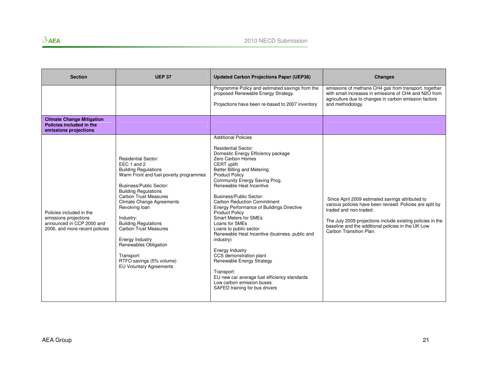| <b>Section</b>                                                                                                   | <b>UEP 37</b>                                                                                                                                                                                                                                                                                                                                                                                                                                                   | <b>Updated Carbon Projections Paper (UEP38)</b>                                                                                                                                                                                                                                                                                                                                                                                                                                                                                                                                                                                                                                                                                                                 | <b>Changes</b>                                                                                                                                                                                                                                                                         |
|------------------------------------------------------------------------------------------------------------------|-----------------------------------------------------------------------------------------------------------------------------------------------------------------------------------------------------------------------------------------------------------------------------------------------------------------------------------------------------------------------------------------------------------------------------------------------------------------|-----------------------------------------------------------------------------------------------------------------------------------------------------------------------------------------------------------------------------------------------------------------------------------------------------------------------------------------------------------------------------------------------------------------------------------------------------------------------------------------------------------------------------------------------------------------------------------------------------------------------------------------------------------------------------------------------------------------------------------------------------------------|----------------------------------------------------------------------------------------------------------------------------------------------------------------------------------------------------------------------------------------------------------------------------------------|
|                                                                                                                  |                                                                                                                                                                                                                                                                                                                                                                                                                                                                 | Programme Policy and estimated savings from the<br>proposed Renewable Energy Strategy.<br>Projections have been re-based to 2007 inventory                                                                                                                                                                                                                                                                                                                                                                                                                                                                                                                                                                                                                      | emissions of methane CH4 gas from transport, together<br>with small increases in emissions of CH4 and N2O from<br>agriculture due to changes in carbon emission factors<br>and methodology.                                                                                            |
| <b>Climate Change Mitigation</b><br>Policies included in the<br>emissions projections                            |                                                                                                                                                                                                                                                                                                                                                                                                                                                                 |                                                                                                                                                                                                                                                                                                                                                                                                                                                                                                                                                                                                                                                                                                                                                                 |                                                                                                                                                                                                                                                                                        |
| Policies included in the<br>emissions projections<br>announced in CCP 2000 and<br>2006, and more recent policies | <b>Residential Sector:</b><br>EEC 1 and 2<br><b>Building Regulations</b><br>Warm Front and fuel poverty programmes<br>Business/Public Sector:<br><b>Building Regulations</b><br><b>Carbon Trust Measures</b><br><b>Climate Change Agreements</b><br>Revolving loan<br>Industry:<br><b>Building Regulations</b><br>Carbon Trust Measures<br>Energy Industry<br>Renewables Obligation<br>Transport:<br>RTFO savings (5% volume)<br><b>EU Voluntary Agreements</b> | <b>Additional Policies</b><br><b>Residential Sector:</b><br>Domestic Energy Efficiency package<br>Zero Carbon Homes<br><b>CERT</b> uplift<br>Better Billing and Metering<br><b>Product Policy</b><br>Community Energy Saving Prog.<br>Renewable Heat Incentive<br>Business/Public Sector:<br><b>Carbon Reduction Commitment</b><br><b>Energy Performance of Buildings Directive</b><br><b>Product Policy</b><br><b>Smart Meters for SMEs</b><br>Loans for SMEs<br>Loans to public sector<br>Renewable Heat Incentive (business, public and<br>industry)<br>Energy Industry<br>CCS demonstration plant<br>Renewable Energy Strategy<br>Transport:<br>EU new car average fuel efficiency standards<br>Low carbon emission buses<br>SAFED training for bus drivers | Since April 2009 estimated savings attributed to<br>various policies have been revised. Policies are split by<br>traded and non-traded.<br>The July 2009 projections include existing policies in the<br>baseline and the additional policies in the UK Low<br>Carbon Transition Plan. |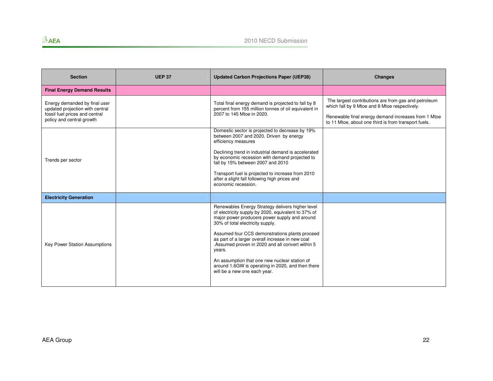| <b>Section</b>                                                                                                                  | <b>UEP 37</b> | <b>Updated Carbon Projections Paper (UEP38)</b>                                                                                                                                                                                                                                                                                                                                                                                                                                                        | <b>Changes</b>                                                                                                                                                                                                       |
|---------------------------------------------------------------------------------------------------------------------------------|---------------|--------------------------------------------------------------------------------------------------------------------------------------------------------------------------------------------------------------------------------------------------------------------------------------------------------------------------------------------------------------------------------------------------------------------------------------------------------------------------------------------------------|----------------------------------------------------------------------------------------------------------------------------------------------------------------------------------------------------------------------|
| <b>Final Energy Demand Results</b>                                                                                              |               |                                                                                                                                                                                                                                                                                                                                                                                                                                                                                                        |                                                                                                                                                                                                                      |
| Energy demanded by final user<br>updated projection with central<br>fossil fuel prices and central<br>policy and central growth |               | Total final energy demand is projected to fall by 8<br>percent from 155 million tonnes of oil equivalent in<br>2007 to 145 Mtoe in 2020.                                                                                                                                                                                                                                                                                                                                                               | The largest contributions are from gas and petroleum<br>which fall by 9 Mtoe and 8 Mtoe respectively.<br>Renewable final energy demand increases from 1 Mtoe<br>to 11 Mtoe, about one third is from transport fuels. |
| Trends per sector                                                                                                               |               | Domestic sector is projected to decrease by 19%<br>between 2007 and 2020. Driven by energy<br>efficiency measures<br>Declining trend in industrial demand is accelerated<br>by economic recession with demand projected to<br>fall by 15% between 2007 and 2010<br>Transport fuel is projected to increase from 2010<br>after a slight fall following high prices and<br>economic recession.                                                                                                           |                                                                                                                                                                                                                      |
| <b>Electricity Generation</b>                                                                                                   |               |                                                                                                                                                                                                                                                                                                                                                                                                                                                                                                        |                                                                                                                                                                                                                      |
| Key Power Station Assumptions                                                                                                   |               | Renewables Energy Strategy delivers higher level<br>of electricity supply by 2020, equivalent to 37% of<br>major power producers power supply and around<br>30% of total electricity supply.<br>Assumed four CCS demonstrations plants proceed<br>as part of a larger overall increase in new coal<br>.Assumed proven in 2020 and all convert within 5<br>years.<br>An assumption that one new nuclear station of<br>around 1.6GW is operating in 2020, and then there<br>will be a new one each year. |                                                                                                                                                                                                                      |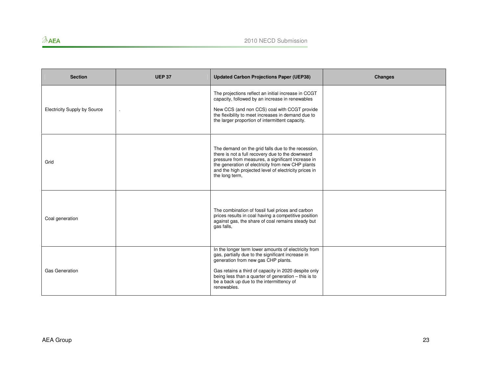| <b>Section</b>                      | <b>UEP 37</b> | <b>Updated Carbon Projections Paper (UEP38)</b>                                                                                                                                                                                                                                                                             | <b>Changes</b> |
|-------------------------------------|---------------|-----------------------------------------------------------------------------------------------------------------------------------------------------------------------------------------------------------------------------------------------------------------------------------------------------------------------------|----------------|
| <b>Electricity Supply by Source</b> |               | The projections reflect an initial increase in CCGT<br>capacity, followed by an increase in renewables<br>New CCS (and non CCS) coal with CCGT provide<br>the flexibility to meet increases in demand due to<br>the larger proportion of intermittent capacity.                                                             |                |
| Grid                                |               | The demand on the grid falls due to the recession,<br>there is not a full recovery due to the downward<br>pressure from measures, a significant increase in<br>the generation of electricity from new CHP plants<br>and the high projected level of electricity prices in<br>the long term,                                 |                |
| Coal generation                     |               | The combination of fossil fuel prices and carbon<br>prices results in coal having a competitive position<br>against gas, the share of coal remains steady but<br>gas falls.                                                                                                                                                 |                |
| <b>Gas Generation</b>               |               | In the longer term lower amounts of electricity from<br>gas, partially due to the significant increase in<br>generation from new gas CHP plants.<br>Gas retains a third of capacity in 2020 despite only<br>being less than a quarter of generation - this is to<br>be a back up due to the intermittency of<br>renewables. |                |